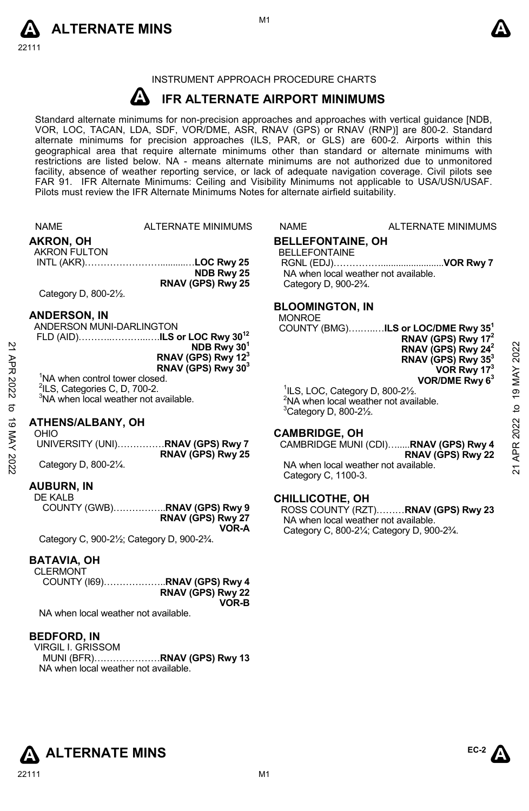



### INSTRUMENT APPROACH PROCEDURE CHARTS

### **A IFR ALTERNATE AIRPORT MINIMUMS**

Standard alternate minimums for non-precision approaches and approaches with vertical guidance [NDB,<br>VOR, LOC, TACAN, LDA, SDF, VOR/DME, ASR, RNAV (GPS) or RNAV (RNP)] are 800-2. Standard alternate minimums for precision approaches (ILS, PAR, or GLS) are 600-2. Airports within this geographical area that require alternate minimums other than standard or alternate minimums with restrictions are listed below. NA - means alternate minimums are not authorized due to unmonitored facility, absence of weather reporting service, or lack of adequate navigation coverage. Civil pilots see FAR 91. IFR Alternate Minimums: Ceiling and Visibility Minimums not applicable to USA/USN/USAF. Pilots must review the IFR Alternate Minimums Notes for alternate airfield suitability.

|                  | <b>NAME</b>                                                                                                                                                                                     | <b>ALTERNATE MINIMUMS</b>                                                                                                               | <b>NAME</b>                                                                                         | ALTERNATE MINIMUMS                                                                                                                                                                                                                                                                               |                                                |
|------------------|-------------------------------------------------------------------------------------------------------------------------------------------------------------------------------------------------|-----------------------------------------------------------------------------------------------------------------------------------------|-----------------------------------------------------------------------------------------------------|--------------------------------------------------------------------------------------------------------------------------------------------------------------------------------------------------------------------------------------------------------------------------------------------------|------------------------------------------------|
|                  | <b>AKRON, OH</b><br><b>AKRON FULTON</b><br>Category D, 800-21/2.                                                                                                                                | NDB Rwy 25<br>RNAV (GPS) Rwy 25                                                                                                         | <b>BELLEFONTAINE, OH</b><br><b>BELLEFONTAINE</b><br>Category D, 900-2 <sup>3</sup> / <sub>4</sub> . | NA when local weather not available.                                                                                                                                                                                                                                                             |                                                |
| 21 APR 2022<br>ನ | <b>ANDERSON, IN</b><br>ANDERSON MUNI-DARLINGTON<br><sup>1</sup> NA when control tower closed.<br><sup>2</sup> ILS, Categories C, D, 700-2.<br><sup>3</sup> NA when local weather not available. | FLD (AID)ILS or LOC Rwy 30 <sup>12</sup><br>NDB Rwy 30 <sup>1</sup><br>RNAV (GPS) Rwy 12 <sup>3</sup><br>RNAV (GPS) Rwy 30 <sup>3</sup> | <b>BLOOMINGTON, IN</b><br><b>MONROE</b>                                                             | COUNTY (BMG)ILS or LOC/DME Rwy 35 <sup>1</sup><br>RNAV (GPS) Rwy 17 <sup>2</sup><br>RNAV (GPS) Rwy $24^2$<br>RNAV (GPS) Rwy 35 <sup>3</sup><br>VOR Rwy 173<br>VOR/DME Rwy $63$<br>$\frac{1}{1}$ ILS, LOC, Category D, 800-2 $\frac{1}{2}$ .<br><sup>2</sup> NA when local weather not available. | 2022<br>MAY<br>$\overline{19}$<br>$\mathbf{Q}$ |
| ಠ<br>MAY 2022    | <b>ATHENS/ALBANY, OH</b><br>OHIO<br>Category D, 800-21/4.<br><b>AUBURN, IN</b>                                                                                                                  | UNIVERSITY (UNI)RNAV (GPS) Rwy 7<br>RNAV (GPS) Rwy 25                                                                                   | <sup>3</sup> Category D, 800-21/2.<br><b>CAMBRIDGE, OH</b><br>Category C, 1100-3.                   | CAMBRIDGE MUNI (CDI)RNAV (GPS) Rwy 4<br>RNAV (GPS) Rwy 22<br>NA when local weather not available.                                                                                                                                                                                                | 2022<br>APR:<br>ম                              |
|                  | DE IZAL D                                                                                                                                                                                       |                                                                                                                                         | 0.11111110071170011                                                                                 |                                                                                                                                                                                                                                                                                                  |                                                |

DE KALB COUNTY (GWB)……………..**RNAV (GPS) Rwy 9 RNAV (GPS) Rwy 27 VOR-A**  Category C, 900-2½; Category D, 900-2¾.

### **BATAVIA, OH**

**CLERMONT** COUNTY (I69)………………..**RNAV (GPS) Rwy 4 RNAV (GPS) Rwy 22 VOR-B** 

NA when local weather not available.

### **BEDFORD, IN**

VIRGIL I. GRISSOM MUNI (BFR)…………………**RNAV (GPS) Rwy 13**  NA when local weather not available.

ROSS COUNTY (RZT)………**RNAV (GPS) Rwy 23**  NA when local weather not available.

### **CHILLICOTHE, OH**

Category C, 800-2¼; Category D, 900-2¾.



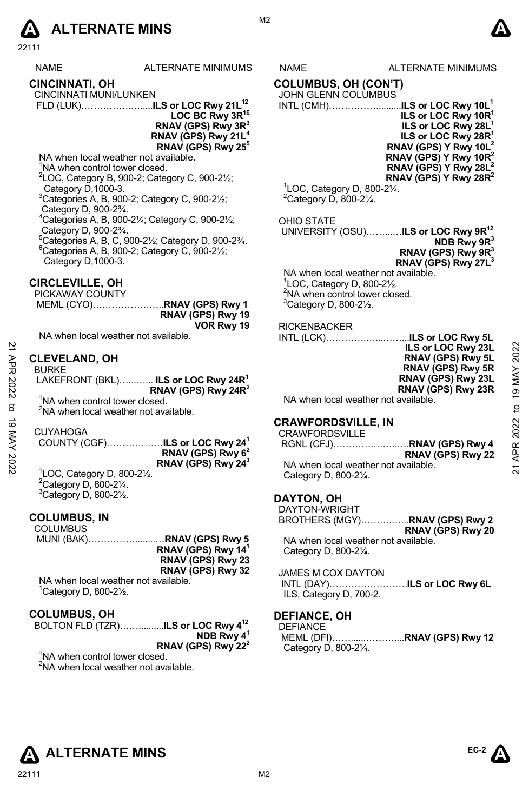

| <b>NAME</b> | ALTERNATE MINIMU |
|-------------|------------------|
|             |                  |

**CINCINNATI, OH**  CINCINNATI MUNI/LUNKEN

FLD (LUK)…………….….....**ILS or LOC Rwy 21L12**

LOC BC Rwy 3R<sup>16</sup> **RNAV (GPS) Rwy 3R3 RNAV (GPS) Rwy 21L4 RNAV (GPS) Rwy 255**

NA when local weather not available.

<sup>1</sup>NA when control tower closed.

 $2^2$ LOC, Category B, 900-2; Category C, 900-2 $\frac{1}{2}$ ; Category D,1000-3.

3 Categories A, B, 900-2; Category C, 900-2½;

Category D, 900-2<sup>3</sup>/<sub>4</sub>. Categories A, B, 900-2¼; Category C, 900-2½;

Category D, 900-2¾. 5

<sup>5</sup>Categories A, B, C, 900-21/<sub>2</sub>; Category D, 900-23/4.  $6$ Categories A, B, 900-2; Category C, 900-2 $\frac{1}{2}$ ; Category D,1000-3.

### **CIRCLEVILLE, OH**

PICKAWAY COUNTY MEML (CYO)…………………..**RNAV (GPS) Rwy 1 RNAV (GPS) Rwy 19 VOR Rwy 19** 

NA when local weather not available.

### **CLEVELAND, OH**

1 LOC, Category D, 800-2½.  $2$ Category D, 800-2 $\frac{1}{4}$ .  $3$ Category D, 800-2 $\frac{1}{2}$ .

### **COLUMBUS, IN**

**COLUMBUS**  MUNI (BAK)……………........…**RNAV (GPS) Rwy 5 RNAV (GPS) Rwy 141 RNAV (GPS) Rwy 23 RNAV (GPS) Rwy 32** 

NA when local weather not available. 1 Category D, 800-2½.

### **COLUMBUS, OH**

| BOLTON FLD (TZR) <b>ILS or LOC Rwy 4<sup>12</sup></b> |                                |
|-------------------------------------------------------|--------------------------------|
|                                                       | NDB Rwy $4^1$                  |
|                                                       | RNAV (GPS) Rwy 22 <sup>2</sup> |

<sup>1</sup>NA when control tower closed.  ${}^{2}$ NA when local weather not available.

### IMS NAME ALTERNATE MINIMUMS

**COLUMBUS, OH (CON'T)** 

JOHN GLENN COLUMBUS

INTL (CMH)……………..........**ILS or LOC Rwy 10L1 ILS or LOC Rwy 10R1 ILS or LOC Rwy 28L1 ILS or LOC Rwy 28R<sup>1</sup> RNAV (GPS) Y Rwy 10L2 RNAV (GPS) Y Rwy 10R2 RNAV (GPS) Y Rwy 28L2 RNAV (GPS) Y Rwy 28R2** 

 $1$ LOC, Category D, 800-2 $\frac{1}{4}$ .  $2$ Category D, 800-2 $\frac{1}{4}$ .

### OHIO STATE

 UNIVERSITY (OSU)……...…**ILS or LOC Rwy 9R12 NDB Rwy 9R3 RNAV (GPS) Rwy 9R3 RNAV (GPS) Rwy 27L3**

NA when local weather not available. 1 LOC, Category D, 800-2½. <sup>2</sup>NA when control tower closed.  $3$ Category D, 800-2 $\frac{1}{2}$ .

### RICKENBACKER

INTL (LCK)………….…...……...**ILS or LOC Rwy 5L ILS or LOC Rwy 23L** 

| .∟⊌ ∪. ∟⊌⊌ .៶, ≞⊎∟<br>RNAV (GPS) Rwy 5L |
|-----------------------------------------|
| RNAV (GPS) Rwy 5R                       |
| RNAV (GPS) Rwy 23L                      |
| RNAV (GPS) Rwy 23R                      |
|                                         |

### **CRAWFORDSVILLE, IN**

| ЯPR<br>2022<br>ನ | <b>CLEVELAND, OH</b><br><b>BURKE</b><br>LAKEFRONT (BKL) ILS or LOC Rwy 24R <sup>1</sup><br>RNAV (GPS) Rwy 24 $R^2$<br><sup>1</sup> NA when control tower closed.                                                                         | ILS or LOC Rwy 23L<br>RNAV (GPS) Rwy 5L<br>RNAV (GPS) Rwy 5R<br>RNAV (GPS) Rwy 23L<br>RNAV (GPS) Rwy 23R<br>NA when local weather not available. | 2022<br>19 MAY<br>₫ |
|------------------|------------------------------------------------------------------------------------------------------------------------------------------------------------------------------------------------------------------------------------------|--------------------------------------------------------------------------------------------------------------------------------------------------|---------------------|
| ಠ<br>XAN<br>2022 | <sup>2</sup> NA when local weather not available.<br><b>CUYAHOGA</b><br>COUNTY (CGF)ILS or LOC Rwy 24 <sup>1</sup><br>RNAV (GPS) Rwy 6 <sup>2</sup><br>RNAV (GPS) Rwy 24 <sup>3</sup><br>${}^{1}$ LOC, Category D, 800-2 $\frac{1}{2}$ . | <b>CRAWFORDSVILLE, IN</b><br><b>CRAWFORDSVILLE</b><br>RNAV (GPS) Rwy 22<br>NA when local weather not available.<br>Category D. 800-21/4.         | APR 2022<br>ম       |

### **DAYTON, OH**

DAYTON-WRIGHT BROTHERS (MGY)……….…...**RNAV (GPS) Rwy 2 RNAV (GPS) Rwy 20**  NA when local weather not available. Category D, 800-2¼.

JAMES M COX DAYTON INTL (DAY)…………………….**ILS or LOC Rwy 6L** ILS, Category D, 700-2.

### **DEFIANCE, OH**

DEFIANCE MEML (DFI)……......………....**RNAV (GPS) Rwy 12**  Category D, 800-2¼.

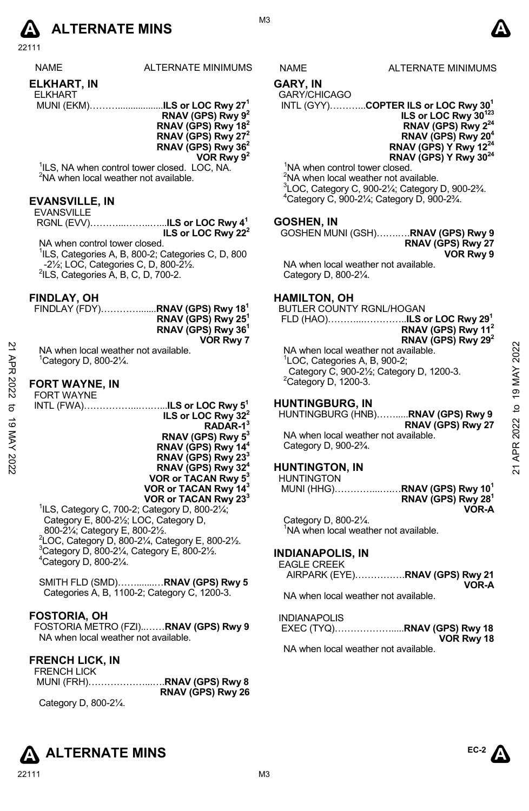

22111

ALTERNATE MINIMUMS NAME ALTERNATE MINIMUMS

### **ELKHART, IN**

ELKHART

 MUNI (EKM)………..................**ILS or LOC Rwy 271 RNAV (GPS) Rwy 92 RNAV (GPS) Rwy 182 RNAV (GPS) Rwy 272 RNAV (GPS) Rwy 362 VOR Rwy 92**

<sup>1</sup>ILS, NA when control tower closed. LOC, NA. <sup>2</sup>NA when local weather not available.

### **EVANSVILLE, IN**

| <b>EVANSVILLE</b> |  |
|-------------------|--|
|                   |  |
|                   |  |

NA when control tower closed. <sup>1</sup>ILS, Categories A, B, 800-2; Categories C, D, 800 -21/<sub>2</sub>; LOC, Categories C, D, 800-21/<sub>2</sub>.  $2ILS$ , Categories  $\breve{A}$ , B, C, D, 700-2.

### **FINDLAY, OH**

| FINDLAY (FDY)RNAV (GPS) Rwy 18 <sup>1</sup> |                                |
|---------------------------------------------|--------------------------------|
|                                             | RNAV (GPS) Rwy 25 <sup>1</sup> |
|                                             | RNAV (GPS) Rwy 36 <sup>1</sup> |
|                                             | VOR Rwy 7                      |

### **FORT WAYNE, IN**

|                | .                                                                       |                                                 |              |
|----------------|-------------------------------------------------------------------------|-------------------------------------------------|--------------|
| $\overline{z}$ | NA when local weather not available.                                    | NA when local weather not available.            | 2022         |
|                | <sup>1</sup> Category D, 800-21⁄4.                                      | <sup>1</sup> LOC, Categories A, B, 900-2;       |              |
| АPR            |                                                                         | Category C, 900-21/2; Category D, 1200-3.       |              |
|                |                                                                         |                                                 | MAY          |
|                | <b>FORT WAYNE, IN</b>                                                   | $2$ Category D, 1200-3.                         |              |
| 2022           | <b>FORT WAYNE</b>                                                       |                                                 | 19           |
|                | INTL (FWA) <b>ILS or LOC Rwy 5<sup>1</sup></b>                          | <b>HUNTINGBURG, IN</b>                          |              |
| ನ              |                                                                         | HUNTINGBURG (HNB)RNAV (GPS) Rwy 9               | $\mathbf{c}$ |
| ಹೆ             | ILS or LOC Rwy 32 <sup>2</sup>                                          |                                                 |              |
|                | $RADAR-13$                                                              | RNAV (GPS) Rwy 27                               |              |
| MAY 2022       | RNAV (GPS) Rwy 5 <sup>3</sup>                                           | NA when local weather not available.            | 2022         |
|                | RNAV (GPS) Rwy 14 <sup>4</sup>                                          | Category D, 900-2 <sup>3</sup> / <sub>4</sub> . |              |
|                |                                                                         |                                                 | APR<br>R     |
|                | RNAV (GPS) Rwy 23 <sup>3</sup>                                          |                                                 |              |
|                | RNAV (GPS) Rwy 32 <sup>4</sup>                                          | <b>HUNTINGTON, IN</b>                           | ম            |
|                | VOR or TACAN Rwy 5 <sup>3</sup>                                         | <b>HUNTINGTON</b>                               |              |
|                | VOR or TACAN Rwy 14 <sup>3</sup>                                        | MUNI (HHG)RNAV (GPS) Rwy 10 <sup>1</sup>        |              |
|                | VOR or TACAN Rwy 233                                                    | RNAV (GPS) Rwy 28 <sup>1</sup>                  |              |
|                | <sup>1</sup> ILS, Category C, 700-2; Category D, 800-21/ <sub>4</sub> ; | <b>VOR-A</b>                                    |              |

Category E, 800-2½; LOC, Category D, 800-2¼; Category E, 800-2½. 2 LOC, Category D, 800-2¼, Category E, 800-2½. 3  $3$ Category D, 800-2 $\frac{1}{4}$ , Category E, 800-2 $\frac{1}{2}$ . 4 Category D, 800-2¼.

SMITH FLD (SMD)…….......…**RNAV (GPS) Rwy 5** Categories A, B, 1100-2; Category C, 1200-3.

### **FOSTORIA, OH**

FOSTORIA METRO (FZI)..……**RNAV (GPS) Rwy 9**  NA when local weather not available.

### **FRENCH LICK, IN**  EDENCH LICK

| FREINUM LIUN |                            |
|--------------|----------------------------|
|              | MUNI (FRH)RNAV (GPS) Rwy 8 |
|              | RNAV (GPS) Rwy 26          |

Category D, 800-2¼.

## **GARY, IN**

GARY/CHICAGO

INTL (GYY)………...**COPTER ILS or LOC Rwy 301**

**ILS or LOC Rwy 30123 RNAV (GPS) Rwy 224 RNAV (GPS) Rwy 204 RNAV (GPS) Y Rwy 1224 RNAV (GPS) Y Rwy 3024** 

<sup>1</sup>NA when control tower closed.

 $2$ NA when local weather not available.  ${}^{3}$ LOC, Category C, 900-2¼; Category D, 900-2¾. Category C, 900-2¼; Category D, 900-2¾.

### **GOSHEN, IN**

GOSHEN MUNI (GSH)…….….**RNAV (GPS) Rwy 9 RNAV (GPS) Rwy 27 VOR Rwy 9** 

NA when local weather not available. Category D, 800-2¼.

### **HAMILTON, OH**

BUTLER COUNTY RGNL/HOGAN FLD (HAO)………...…………..**ILS or LOC Rwy 291 RNAV (GPS) Rwy 112**

## **RNAV (GPS) Rwy 292**

### **HUNTINGBURG, IN**

### **HUNTINGTON, IN**

Category D, 800-2¼. <sup>1</sup>NA when local weather not available.

### **INDIANAPOLIS, IN**  EAGLE CRE

| EAGLE UREEN |                                |
|-------------|--------------------------------|
|             | AIRPARK (EYE)RNAV (GPS) Rwy 21 |
|             | VOR-A                          |

NA when local weather not available.

### INDIANAPOLIS

| VOR Rwy 18 |
|------------|

NA when local weather not available.



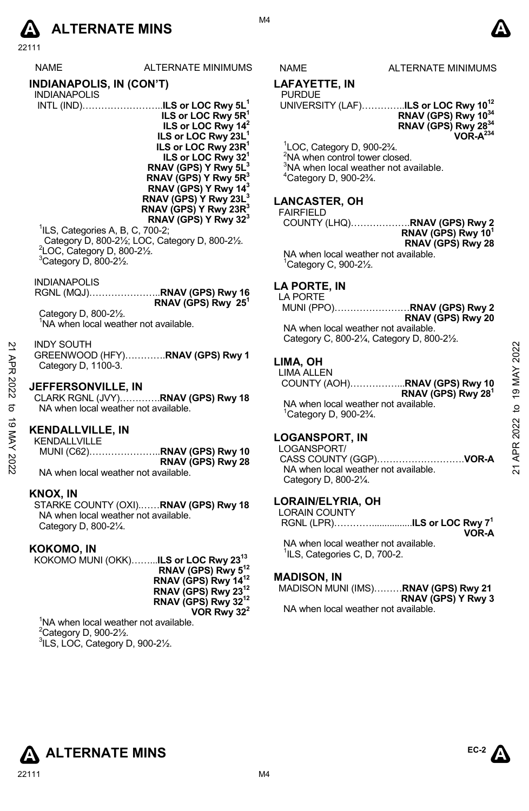# **A** ALTERNATE MINS  $\bullet$

22111

|                  | <b>LL</b> 1 1 1                                                                                            |                                                                                                                                                                                                                                                                                                                                                                                                                                                                                              |                                                                                                                                                                                                       |                                                                                                                                                                                                                                                                        |                                               |
|------------------|------------------------------------------------------------------------------------------------------------|----------------------------------------------------------------------------------------------------------------------------------------------------------------------------------------------------------------------------------------------------------------------------------------------------------------------------------------------------------------------------------------------------------------------------------------------------------------------------------------------|-------------------------------------------------------------------------------------------------------------------------------------------------------------------------------------------------------|------------------------------------------------------------------------------------------------------------------------------------------------------------------------------------------------------------------------------------------------------------------------|-----------------------------------------------|
|                  | NAME                                                                                                       | ALTERNATE MINIMUMS                                                                                                                                                                                                                                                                                                                                                                                                                                                                           | NAME                                                                                                                                                                                                  | ALTERNATE MINIMUMS                                                                                                                                                                                                                                                     |                                               |
|                  | <b>INDIANAPOLIS, IN (CON'T)</b>                                                                            |                                                                                                                                                                                                                                                                                                                                                                                                                                                                                              | LAFAYETTE, IN                                                                                                                                                                                         |                                                                                                                                                                                                                                                                        |                                               |
|                  | <b>INDIANAPOLIS</b><br><sup>1</sup> ILS, Categories A, B, C, 700-2;                                        | INTL (IND)ILS or LOC Rwy 5L <sup>1</sup><br>ILS or LOC Rwy $5R^1$<br>ILS or LOC Rwy 14 <sup>2</sup><br>ILS or LOC Rwy 23L <sup>1</sup><br>ILS or LOC Rwy 23R <sup>1</sup><br>ILS or LOC Rwy 32 <sup>1</sup><br>RNAV (GPS) Y Rwy 5L <sup>3</sup><br>RNAV (GPS) Y Rwy 5R <sup>3</sup><br>RNAV (GPS) Y Rwy 14 <sup>3</sup><br>RNAV (GPS) Y Rwy 23L <sup>3</sup><br>RNAV (GPS) Y Rwy 23R <sup>3</sup><br>RNAV (GPS) Y Rwy $323$<br>Category D, 800-21/ <sub>2</sub> ; LOC, Category D, 800-21/2. | <b>PURDUE</b><br><sup>1</sup> LOC, Category D, 900-23⁄4.<br><sup>2</sup> NA when control tower closed.<br><sup>4</sup> Category D, 900-23⁄ <sub>4</sub> .<br><b>LANCASTER, OH</b><br><b>FAIRFIELD</b> | UNIVERSITY (LAF)ILS or LOC Rwy 10 <sup>12</sup><br>RNAV (GPS) Rwy 10 <sup>34</sup><br>RNAV (GPS) Rwy 2834<br>$VOR-A^{234}$<br><sup>3</sup> NA when local weather not available.<br>COUNTY (LHQ)RNAV (GPS) Rwy 2<br>RNAV (GPS) Rwy 10 <sup>1</sup><br>RNAV (GPS) Rwy 28 |                                               |
|                  | <sup>2</sup> LOC, Category D, 800-21/2.<br>$3$ Category D, 800-2 $\frac{1}{2}$ .                           |                                                                                                                                                                                                                                                                                                                                                                                                                                                                                              | Category C, 900-21/2.                                                                                                                                                                                 | NA when local weather not available.                                                                                                                                                                                                                                   |                                               |
|                  | <b>INDIANAPOLIS</b><br>Category D, 800-21/2.<br>'NA when local weather not available.<br><b>INDY SOUTH</b> | RNAV (GPS) Rwy $25^1$<br>GREENWOOD (HFY)RNAV (GPS) Rwy 1                                                                                                                                                                                                                                                                                                                                                                                                                                     | LA PORTE, IN<br>LA PORTE<br>LIMA, OH                                                                                                                                                                  | MUNI (PPO)RNAV (GPS) Rwy 2<br>RNAV (GPS) Rwy 20<br>NA when local weather not available.<br>Category C, 800-21/4, Category D, 800-21/2.                                                                                                                                 | 2022                                          |
| 21 APR 2022<br>đ | Category D, 1100-3.<br><b>JEFFERSONVILLE, IN</b><br>NA when local weather not available.                   | CLARK RGNL (JVY)RNAV (GPS) Rwy 18                                                                                                                                                                                                                                                                                                                                                                                                                                                            | <b>LIMA ALLEN</b><br>$^1$ Category D, 900-2 $\frac{3}{4}$ .                                                                                                                                           | COUNTY (AOH)RNAV (GPS) Rwy 10<br>RNAV (GPS) Rwy 28 <sup>1</sup><br>NA when local weather not available.                                                                                                                                                                | <b>MAY</b><br>$\frac{9}{2}$<br>$\overline{a}$ |
| 19 MAY 2022      | KENDALLVILLE, IN<br>KENDALLVILLE<br>NA when local weather not available.<br>KNOX, IN                       | MUNI (C62)RNAV (GPS) Rwy 10<br>RNAV (GPS) Rwy 28                                                                                                                                                                                                                                                                                                                                                                                                                                             | <b>LOGANSPORT, IN</b><br>LOGANSPORT/<br>Category D, 800-21/4.<br>LORAIN/ELYRIA, OH                                                                                                                    | NA when local weather not available.                                                                                                                                                                                                                                   | 2022<br>APR:<br>$\overline{21}$               |
|                  | NA when local weather not available.<br>Category D, 800-21/4.                                              | STARKE COUNTY (OXI)RNAV (GPS) Rwy 18                                                                                                                                                                                                                                                                                                                                                                                                                                                         | <b>LORAIN COUNTY</b>                                                                                                                                                                                  | RGNL (LPR)ILS or LOC Rwy 7 <sup>1</sup>                                                                                                                                                                                                                                |                                               |
|                  | KOKOMO, IN<br><sup>1</sup> NA when local weather not available.                                            | KOKOMO MUNI (OKK)ILS or LOC Rwy 23 <sup>13</sup><br>RNAV (GPS) Rwy 5 <sup>12</sup><br>RNAV (GPS) Rwy 14 <sup>12</sup><br>RNAV (GPS) Rwy 23 <sup>12</sup><br>RNAV (GPS) Rwy 32 <sup>12</sup><br>VOR Rwy $32^2$                                                                                                                                                                                                                                                                                | <sup>1</sup> ILS, Categories C, D, 700-2.<br><b>MADISON, IN</b>                                                                                                                                       | VOR-A<br>NA when local weather not available.<br>MADISON MUNI (IMS)RNAV (GPS) Rwy 21<br>RNAV (GPS) Y Rwy 3<br>NA when local weather not available.                                                                                                                     |                                               |
|                  | <sup>2</sup> Category D, 900-21/ <sub>2</sub> .<br><sup>3</sup> ILS, LOC, Category D, 900-21/2.            |                                                                                                                                                                                                                                                                                                                                                                                                                                                                                              |                                                                                                                                                                                                       |                                                                                                                                                                                                                                                                        |                                               |
|                  | $\Lambda$ ALTERNATE MINS<br>22111                                                                          |                                                                                                                                                                                                                                                                                                                                                                                                                                                                                              | M <sub>4</sub>                                                                                                                                                                                        | EC-2 $\mathbf{A}$                                                                                                                                                                                                                                                      |                                               |

M4

### **LAFAYETTE, IN**

### UNIVERSITY (LAF)…………..**ILS or LOC Rwy 1012 RNAV (GPS) Rwy 1034 RNAV (GPS) Rwy 2834 VOR-A234**

### **LANCASTER, OH**

### **AIRFIELD**

## **LA PORTE, IN**

### NA when local weather not available. Category C, 800-2¼, Category D, 800-2½.

### **LIMA, OH**

### **LOGANSPORT, IN**

### **LORAIN/ELYRIA, OH**

| LORAIN COUNTY |                                         |
|---------------|-----------------------------------------|
|               | RGNL (LPR)ILS or LOC Rwy 7 <sup>1</sup> |
|               | <b>VOR-A</b>                            |

# NA when local weather not available. <sup>1</sup>ILS, Categories C, D, 700-2.

## **MADISON, IN**

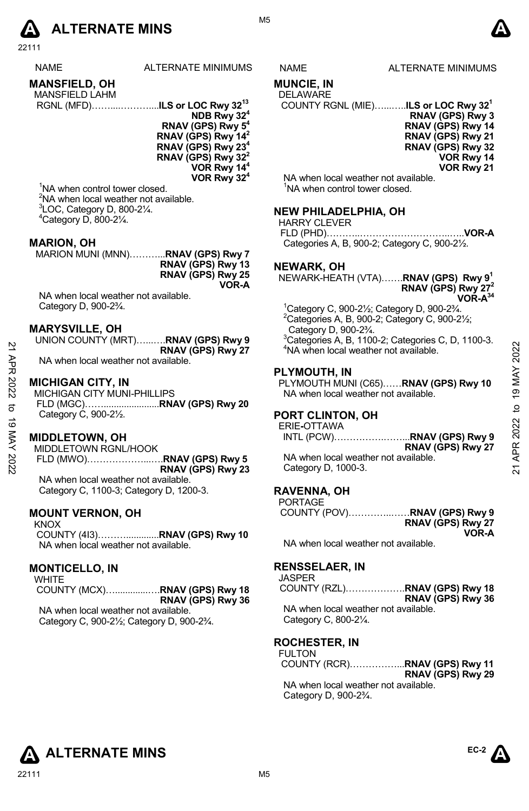

22111

|  | <b></b> |  |  |
|--|---------|--|--|

| <b>NAME</b> | ALTERNATE MINIMUMS |
|-------------|--------------------|
|             |                    |

### **MANSFIELD, OH**  MANSEIELD LAHM

| <b>IVIANOLILLU LAI IIVI</b> |                                           |  |  |
|-----------------------------|-------------------------------------------|--|--|
|                             | RGNL (MFD)ILS or LOC Rwy 32 <sup>13</sup> |  |  |

**NDB Rwy 324 RNAV (GPS) Rwy 54 RNAV (GPS) Rwy 142 RNAV (GPS) Rwy 234 RNAV (GPS) Rwy 322 VOR Rwy 144 VOR Rwy 324**

<sup>1</sup>NA when control tower closed. <sup>2</sup>NA when local weather not available.  $3$ LOC, Category D, 800-2 $\frac{1}{4}$ .  $4$ Category D, 800-2 $\frac{1}{4}$ .

### **MARION, OH**

MARION MUNI (MNN)………...**RNAV (GPS) Rwy 7 RNAV (GPS) Rwy 13 RNAV (GPS) Rwy 25 VOR-A** 

NA when local weather not available. Category D, 900-2¾.

### **MARYSVILLE, OH**

| UNION COUNTY (MRT)RNAV (GPS) Rwy 9   |
|--------------------------------------|
| RNAV (GPS) Rwy 27                    |
| NA when local weather not available. |

### **MICHIGAN CITY, IN**

MICHIGAN CITY MUNI-PHILLIPS FLD (MGC)……......................**RNAV (GPS) Rwy 20**  Category C, 900-2½.

### **MIDDLETOWN, OH**

MIDDLETOWN RGNL/HOOK FLD (MWO)………………...….**RNAV (GPS) Rwy 5 RNAV (GPS) Rwy 23** NA when local weather not available.

Category C, 1100-3; Category D, 1200-3.

### **MOUNT VERNON, OH**

KNOX COUNTY (4I3)……….............**RNAV (GPS) Rwy 10**  NA when local weather not available.

### **MONTICELLO, IN**

**WHITE**  COUNTY (MCX)….............….**RNAV (GPS) Rwy 18 RNAV (GPS) Rwy 36**  NA when local weather not available.

Category C, 900-2½; Category D, 900-2¾.

M5



### **MUNCIE, IN**

### DELAWARE

COUNTY RGNL (MIE)…...…..**ILS or LOC Rwy 321**

**RNAV (GPS) Rwy 3 RNAV (GPS) Rwy 14 RNAV (GPS) Rwy 21 RNAV (GPS) Rwy 32 VOR Rwy 14** 

**VOR Rwy 21** 

NA when local weather not available. <sup>1</sup>NA when control tower closed.

### **NEW PHILADELPHIA, OH**

HARRY CLEVER FLD (PHD)………..………………………..…..**VOR-A**  Categories A, B, 900-2; Category C, 900-2½.

### **NEWARK, OH**

NEWARK-HEATH (VTA)…….**RNAV (GPS) Rwy 91 RNAV (GPS) Rwy 272 VOR-A34**

1 Category C, 900-2½; Category D, 900-2¾.  $2$ Categories A, B, 900-2; Category C, 900-2 $\frac{1}{2}$ ; Category D, 900-2¾.

 $3$ Categories A, B, 1100-2; Categories C, D, 1100-3. <sup>4</sup>NA when local weather not available.

### **PLYMOUTH, IN**

PLYMOUTH MUNI (C65)……**RNAV (GPS) Rwy 10**  NA when local weather not available.

### **PORT CLINTON, OH**

ERIE**-**OTTAWA

INTL (PCW)…………….……...**RNAV (GPS) Rwy 9 RNAV (GPS) Rwy 27**  NA when local weather not available. Category D, 1000-3. 22 ENGINEERT (MATHE PISSON) AND REAL PROPUSSION CONTROLL AND CONTROLL AND CONTROLL AND CONTROLL AND CONTROLL AND CONTROLL AND CONTROLL AND CONTROLL AND CONTROLL AND CONTROLL AND CONTROLL AND CONTROLL AND CONTROLL AND CONT

### **RAVENNA, OH**

| <b>PORTAGE</b> |                   |
|----------------|-------------------|
|                |                   |
|                | RNAV (GPS) Rwy 27 |
|                | VOR-A             |

NA when local weather not available.

### **RENSSELAER, IN**

JASPER

COUNTY (RZL)……………….**RNAV (GPS) Rwy 18 RNAV (GPS) Rwy 36**  NA when local weather not available. Category C, 800-2¼.

### **ROCHESTER, IN**

FULTON COUNTY (RCR)……………...**RNAV (GPS) Rwy 11 RNAV (GPS) Rwy 29** NA when local weather not available. Category D, 900-2¾.



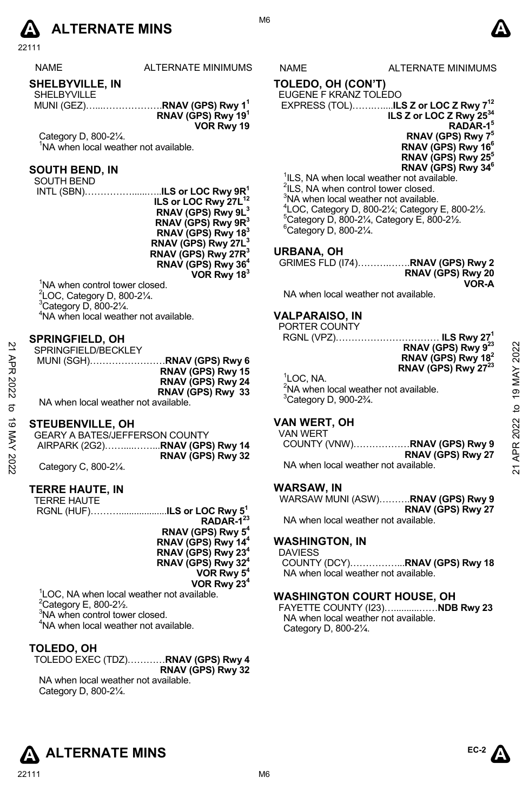

22111

NAME ALTERNATE MINIMUMS NAME ALTERNATE MINIMUMS

### **SHELBYVILLE, IN**

SHELBYVILLE MUNI (GEZ)…...……………….**RNAV (GPS) Rwy 11 RNAV (GPS) Rwy 191 VOR Rwy 19** 

Category D, 800-2¼. <sup>1</sup>NA when local weather not available.

### **SOUTH BEND, IN**

SOUTH BEND

 INTL (SBN)……………......…..**ILS or LOC Rwy 9R1 ILS or LOC Rwy 27L<sup>12</sup> RNAV (GPS) Rwy 9L3 RNAV (GPS) Rwy 9R3 RNAV (GPS) Rwy 183 RNAV (GPS) Rwy 27L3 RNAV (GPS) Rwy 27R3 RNAV (GPS) Rwy 364 VOR Rwy 183**

<sup>1</sup>NA when control tower closed. LOC, Category D, 800-2 $\frac{1}{4}$ . Category D, 800-2 $\frac{1}{4}$ . NA when local weather not available.

### **SPRINGFIELD, OH**

| 2<br>АPR<br>2022<br>ನ | ------------------<br>SPRINGFIELD/BECKLEY<br>RNAV (GPS) Rwy 15<br>RNAV (GPS) Rwy 24<br>RNAV (GPS) Rwy 33<br>NA when local weather not available. | RNAV (GPS) Rwy 9 <sup>23</sup><br>RNAV (GPS) Rwy 18 <sup>2</sup><br>RNAV (GPS) Rwy 27 <sup>23</sup><br><sup>1</sup> LOC. NA.<br><sup>2</sup> NA when local weather not available.<br>$3$ Category D, 900-2 $\frac{3}{4}$ . | 2022<br>≻<br>≸<br>ග<br>₫ |
|-----------------------|--------------------------------------------------------------------------------------------------------------------------------------------------|----------------------------------------------------------------------------------------------------------------------------------------------------------------------------------------------------------------------------|--------------------------|
| ಹ<br>YAY<br>2022      | <b>STEUBENVILLE, OH</b><br><b>GEARY A BATES/JEFFERSON COUNTY</b><br>AIRPARK (2G2)RNAV (GPS) Rwy 14<br>RNAV (GPS) Rwy 32<br>Category C, 800-21/4. | <b>VAN WERT, OH</b><br>VAN WERT<br>RNAV (GPS) Rwy 27<br>NA when local weather not available.                                                                                                                               | 2022<br>ĄPR<br>ম         |

### **STEUBENVILLE, OH**

| GEARY A BATES/JEFFERSON COUNTY |                   |
|--------------------------------|-------------------|
|                                |                   |
|                                | RNAV (GPS) Rwy 32 |
| Category C, 800-21/4.          |                   |

### **TERRE HAUTE, IN**

| TERRE HAUTE                                            |                                                                  |
|--------------------------------------------------------|------------------------------------------------------------------|
|                                                        |                                                                  |
|                                                        | RGNL (HUF)ILS or LOC Rwy 5 <sup>1</sup><br>RADAR-1 <sup>23</sup> |
|                                                        | RNAV (GPS) Rwy 5 <sup>4</sup>                                    |
|                                                        | RNAV (GPS) Rwy 14 <sup>4</sup>                                   |
|                                                        | RNAV (GPS) Rwy 23 <sup>4</sup>                                   |
|                                                        | RNAV (GPS) Rwy 324                                               |
|                                                        | VOR Rwy 5 <sup>4</sup>                                           |
|                                                        | VOR Rwy 23 <sup>4</sup>                                          |
| <sup>1</sup> LOC, NA when local weather not available. |                                                                  |
| $2$ Category E, 800-2 $\frac{1}{2}$ .                  |                                                                  |
|                                                        |                                                                  |

<sup>3</sup>NA when control tower closed.

4 NA when local weather not available.

### **TOLEDO, OH**

| TOLEDO EXEC (TDZ)RNAV (GPS) Rwy 4 |                   |  |  |
|-----------------------------------|-------------------|--|--|
|                                   | RNAV (GPS) Rwy 32 |  |  |

NA when local weather not available. Category D, 800-2¼.

M6

**TOLEDO, OH (CON'T)** EUGENE F KRANZ TOLEDO

 EXPRESS (TOL)…….…....**ILS Z or LOC Z Rwy 712 ILS Z or LOC Z Rwy 2534 RADAR-15 RNAV (GPS) Rwy 75 RNAV (GPS) Rwy 166 RNAV (GPS) Rwy 255 RNAV (GPS) Rwy 346** 

<sup>1</sup>ILS, NA when local weather not available. <sup>2</sup>ILS, NA when control tower closed. <sup>3</sup>NA when local weather not available.  $^{4}$ LOC, Category D, 800-21⁄<sub>2</sub>; Category E, 800-21⁄<sub>2</sub>.<br><sup>5</sup>Category D, 800, 31⁄<sub>2</sub>, Category E, 800, 31⁄  $5$ Category D, 800-2¼, Category E, 800-2½.  $6$ Category D, 800-2 $\frac{1}{4}$ .

### **URBANA, OH**

| GRIMES FLD (174)RNAV (GPS) Rwy 2 |                   |
|----------------------------------|-------------------|
|                                  | RNAV (GPS) Rwy 20 |
|                                  | VOR-A             |

NA when local weather not available.

### **VALPARAISO, IN**

PORTER COUNTY

RGNL (VPZ)…………………………… **ILS Rwy 271**

| ILS RWY 27<br>.                 |  |
|---------------------------------|--|
| RNAV (GPS) Rwy 9 <sup>23</sup>  |  |
| RNAV (GPS) Rwy 18 <sup>2</sup>  |  |
|                                 |  |
| RNAV (GPS) Rwy 27 <sup>23</sup> |  |

### **VAN WERT, OH**

### **WARSAW, IN**

WARSAW MUNI (ASW)……….**RNAV (GPS) Rwy 9 RNAV (GPS) Rwy 27** 

NA when local weather not available.

### **WASHINGTON, IN**

DAVIESS COUNTY (DCY)……………...**RNAV (GPS) Rwy 18**  NA when local weather not available.

### **WASHINGTON COURT HOUSE, OH**

FAYETTE COUNTY (I23)…..........……**NDB Rwy 23**  NA when local weather not available. Category D, 800-2¼.